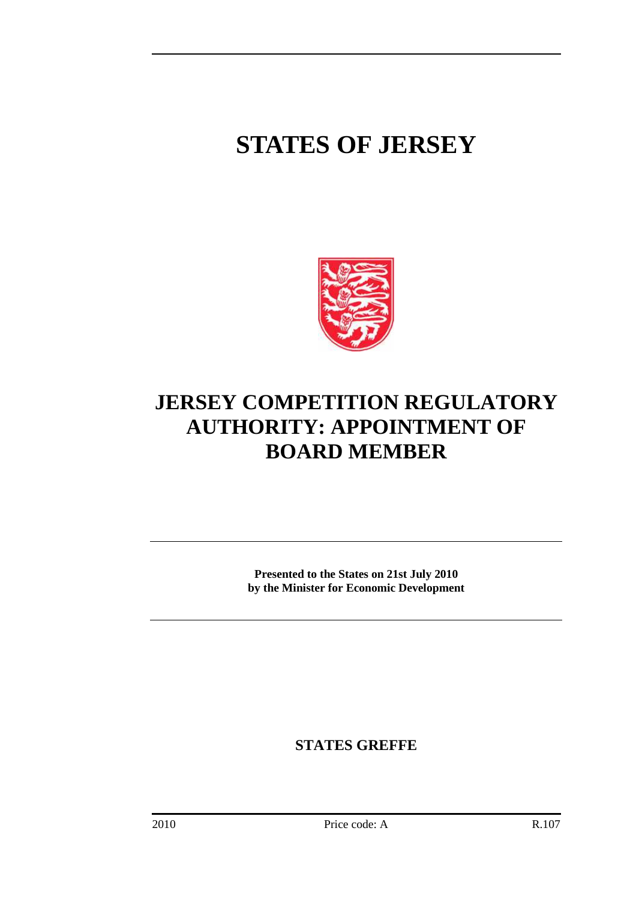## **STATES OF JERSEY**



## **JERSEY COMPETITION REGULATORY AUTHORITY: APPOINTMENT OF BOARD MEMBER**

**Presented to the States on 21st July 2010 by the Minister for Economic Development** 

**STATES GREFFE**